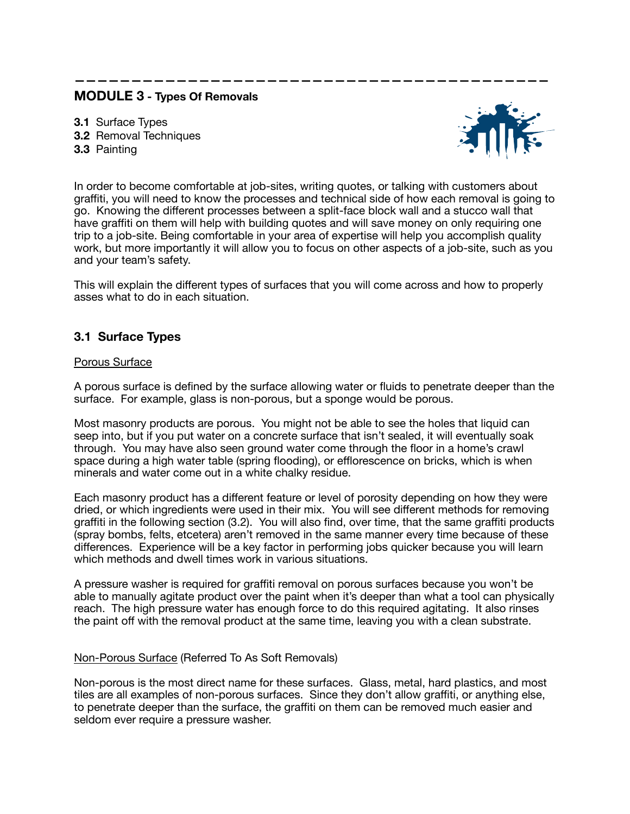## **MODULE 3 - Types Of Removals**

**3.1** Surface Types **3.2** Removal Techniques **3.3** Painting



In order to become comfortable at job-sites, writing quotes, or talking with customers about graffiti, you will need to know the processes and technical side of how each removal is going to go. Knowing the different processes between a split-face block wall and a stucco wall that have graffiti on them will help with building quotes and will save money on only requiring one trip to a job-site. Being comfortable in your area of expertise will help you accomplish quality work, but more importantly it will allow you to focus on other aspects of a job-site, such as you and your team's safety.

**——————————————————————————————————————————**

This will explain the different types of surfaces that you will come across and how to properly asses what to do in each situation.

## **3.1 Surface Types**

#### Porous Surface

A porous surface is defined by the surface allowing water or fluids to penetrate deeper than the surface. For example, glass is non-porous, but a sponge would be porous.

Most masonry products are porous. You might not be able to see the holes that liquid can seep into, but if you put water on a concrete surface that isn't sealed, it will eventually soak through. You may have also seen ground water come through the floor in a home's crawl space during a high water table (spring flooding), or efflorescence on bricks, which is when minerals and water come out in a white chalky residue.

Each masonry product has a different feature or level of porosity depending on how they were dried, or which ingredients were used in their mix. You will see different methods for removing graffiti in the following section (3.2). You will also find, over time, that the same graffiti products (spray bombs, felts, etcetera) aren't removed in the same manner every time because of these differences. Experience will be a key factor in performing jobs quicker because you will learn which methods and dwell times work in various situations.

A pressure washer is required for graffiti removal on porous surfaces because you won't be able to manually agitate product over the paint when it's deeper than what a tool can physically reach. The high pressure water has enough force to do this required agitating. It also rinses the paint off with the removal product at the same time, leaving you with a clean substrate.

#### Non-Porous Surface (Referred To As Soft Removals)

Non-porous is the most direct name for these surfaces. Glass, metal, hard plastics, and most tiles are all examples of non-porous surfaces. Since they don't allow graffiti, or anything else, to penetrate deeper than the surface, the graffiti on them can be removed much easier and seldom ever require a pressure washer.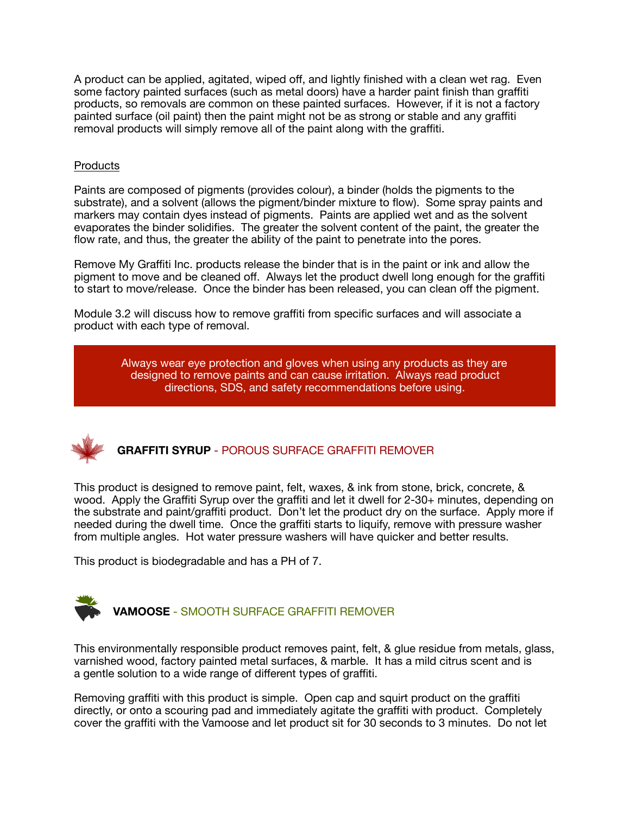A product can be applied, agitated, wiped off, and lightly finished with a clean wet rag. Even some factory painted surfaces (such as metal doors) have a harder paint finish than graffiti products, so removals are common on these painted surfaces. However, if it is not a factory painted surface (oil paint) then the paint might not be as strong or stable and any graffiti removal products will simply remove all of the paint along with the graffiti.

#### **Products**

Paints are composed of pigments (provides colour), a binder (holds the pigments to the substrate), and a solvent (allows the pigment/binder mixture to flow). Some spray paints and markers may contain dyes instead of pigments. Paints are applied wet and as the solvent evaporates the binder solidifies. The greater the solvent content of the paint, the greater the flow rate, and thus, the greater the ability of the paint to penetrate into the pores.

Remove My Graffiti Inc. products release the binder that is in the paint or ink and allow the pigment to move and be cleaned off. Always let the product dwell long enough for the graffiti to start to move/release. Once the binder has been released, you can clean off the pigment.

Module 3.2 will discuss how to remove graffiti from specific surfaces and will associate a product with each type of removal.

> Always wear eye protection and gloves when using any products as they are designed to remove paints and can cause irritation. Always read product directions, SDS, and safety recommendations before using.



# **GRAFFITI SYRUP** - POROUS SURFACE GRAFFITI REMOVER

This product is designed to remove paint, felt, waxes, & ink from stone, brick, concrete, & wood. Apply the Graffiti Syrup over the graffiti and let it dwell for 2-30+ minutes, depending on the substrate and paint/graffiti product. Don't let the product dry on the surface. Apply more if needed during the dwell time. Once the graffiti starts to liquify, remove with pressure washer from multiple angles. Hot water pressure washers will have quicker and better results.

This product is biodegradable and has a PH of 7.



This environmentally responsible product removes paint, felt, & glue residue from metals, glass, varnished wood, factory painted metal surfaces, & marble. It has a mild citrus scent and is a gentle solution to a wide range of different types of graffiti.

Removing graffiti with this product is simple. Open cap and squirt product on the graffiti directly, or onto a scouring pad and immediately agitate the graffiti with product. Completely cover the graffiti with the Vamoose and let product sit for 30 seconds to 3 minutes. Do not let